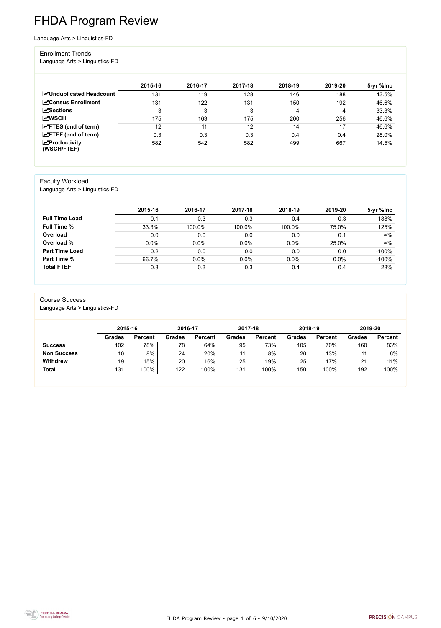FHDA Program Review - page 1 of 6 - 9/10/2020



# FHDA Program Review

Language Arts > Linguistics-FD

#### Enrollment Trends

Language Arts > Linguistics-FD

|                                          | 2015-16 | 2016-17 | 2017-18 | 2018-19 | 2019-20 | 5-yr %lnc |
|------------------------------------------|---------|---------|---------|---------|---------|-----------|
| <b>ZUnduplicated Headcount</b>           | 131     | 119     | 128     | 146     | 188     | 43.5%     |
| <b>ZCensus Enrollment</b>                | 131     | 122     | 131     | 150     | 192     | 46.6%     |
| $\sqrt{\frac{1}{2}}$ Sections            | 3       | 3       | 3       | 4       |         | 33.3%     |
| <b>MWSCH</b>                             | 175     | 163     | 175     | 200     | 256     | 46.6%     |
| $\angle$ FTES (end of term)              | 12      | 11      | 12      | 14      | 17      | 46.6%     |
| $\angle$ FTEF (end of term)              | 0.3     | 0.3     | 0.3     | 0.4     | 0.4     | 28.0%     |
| $\mathbf{Z}$ Productivity<br>(WSCH/FTEF) | 582     | 542     | 582     | 499     | 667     | 14.5%     |

#### Faculty Workload

Language Arts > Linguistics-FD

|                       | 2015-16 | 2016-17 | 2017-18 | 2018-19 | 2019-20 | 5-yr %lnc  |
|-----------------------|---------|---------|---------|---------|---------|------------|
| <b>Full Time Load</b> | 0.1     | 0.3     | 0.3     | 0.4     | 0.3     | 188%       |
| <b>Full Time %</b>    | 33.3%   | 100.0%  | 100.0%  | 100.0%  | 75.0%   | 125%       |
| Overload              | 0.0     | 0.0     | 0.0     | 0.0     | 0.1     | $\infty\%$ |
| Overload %            | 0.0%    | 0.0%    | 0.0%    | 0.0%    | 25.0%   | $\infty\%$ |
| <b>Part Time Load</b> | 0.2     | 0.0     | 0.0     | 0.0     | 0.0     | $-100%$    |
| <b>Part Time %</b>    | 66.7%   | 0.0%    | 0.0%    | 0.0%    | 0.0%    | $-100%$    |
| <b>Total FTEF</b>     | 0.3     | 0.3     | 0.3     | 0.4     | 0.4     | 28%        |

#### Course Success Language Arts > Linguistics-FD

|                    |               | 2015-16        |               | 2016-17        |               | 2017-18        | 2018-19       |                | 2019-20       |                |
|--------------------|---------------|----------------|---------------|----------------|---------------|----------------|---------------|----------------|---------------|----------------|
|                    | <b>Grades</b> | <b>Percent</b> | <b>Grades</b> | <b>Percent</b> | <b>Grades</b> | <b>Percent</b> | <b>Grades</b> | <b>Percent</b> | <b>Grades</b> | <b>Percent</b> |
| <b>Success</b>     | 102           | 78%            | 78            | 64%            | 95            | 73%            | 105           | 70%            | 160           | 83%            |
| <b>Non Success</b> | 10            | 8%             | 24            | 20%            |               | 8%             | 20            | 13%            |               | 6%             |
| <b>Withdrew</b>    | 19            | 15%            | 20            | 16%            | 25            | 19%            | 25            | '7%            | 21            | 11%            |
| <b>Total</b>       | 131           | 100%           | 122           | 100%           | 131           | 100%           | 150           | 100%           | 192           | 100%           |

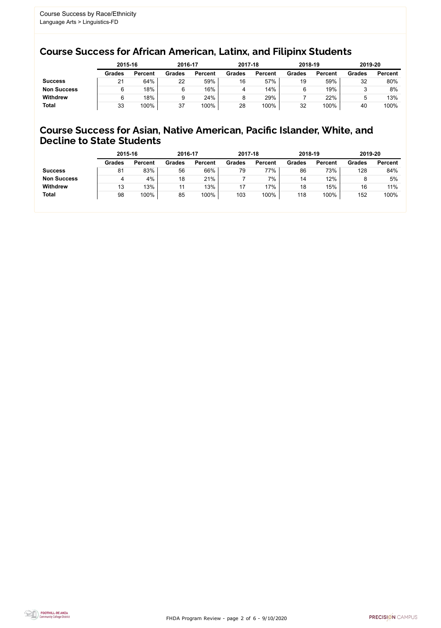FHDA Program Review - page 2 of 6 - 9/10/2020



### Course Success for African American, Latinx, and Filipinx Students

### Course Success for Asian, Native American, Pacific Islander, White, and Decline to State Students

|                    | 2015-16       |                | 2016-17       |                | 2017-18       |                | 2018-19       |                | 2019-20       |                |
|--------------------|---------------|----------------|---------------|----------------|---------------|----------------|---------------|----------------|---------------|----------------|
|                    | <b>Grades</b> | <b>Percent</b> | <b>Grades</b> | <b>Percent</b> | <b>Grades</b> | <b>Percent</b> | <b>Grades</b> | <b>Percent</b> | <b>Grades</b> | <b>Percent</b> |
| <b>Success</b>     | 21            | 64%            | 22            | 59%            | 16            | 57%            | 19            | 59%            | 32            | 80%            |
| <b>Non Success</b> |               | 18%            | 6             | 16%            |               | 14%            |               | 19%            |               | 8%             |
| <b>Withdrew</b>    |               | 18%            | 9             | 24%            |               | 29%            |               | 22%            | ხ             | 13%            |
| <b>Total</b>       | 33            | 100%           | 37            | 100%           | 28            | 100%           | 32            | 100%           | 40            | 100%           |

|                    | 2015-16       |                | 2016-17       |                | 2017-18       |                | 2018-19       |                | 2019-20       |                |
|--------------------|---------------|----------------|---------------|----------------|---------------|----------------|---------------|----------------|---------------|----------------|
|                    | <b>Grades</b> | <b>Percent</b> | <b>Grades</b> | <b>Percent</b> | <b>Grades</b> | <b>Percent</b> | <b>Grades</b> | <b>Percent</b> | <b>Grades</b> | <b>Percent</b> |
| <b>Success</b>     | 81            | 83%            | 56            | 66%            | 79            | 77%            | 86            | 73%            | 128           | 84%            |
| <b>Non Success</b> |               | 4%             | 18            | 21%            |               | 7%             | 14            | 12%            | 8             | 5%             |
| <b>Withdrew</b>    | 13            | 13%            | 11            | 13%            | 17            | 17%            | 18            | 15%            | 16            | 11%            |
| <b>Total</b>       | 98            | 100%           | 85            | 100%           | 103           | 100%           | 118           | 100%           | 152           | 100%           |
|                    |               |                |               |                |               |                |               |                |               |                |

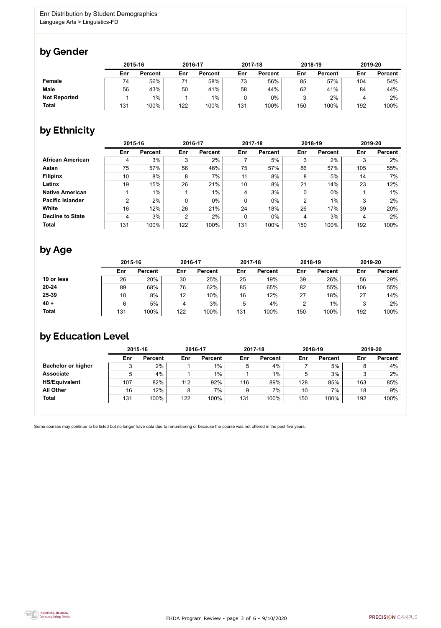

Some courses may continue to be listed but no longer have data due to renumbering or because the course was not offered in the past five years.



### by Gender

|                     |     | 2015-16        |     | 2016-17        |     | 2017-18        | 2018-19 |                | 2019-20 |                |
|---------------------|-----|----------------|-----|----------------|-----|----------------|---------|----------------|---------|----------------|
|                     | Enr | <b>Percent</b> | Enr | <b>Percent</b> | Enr | <b>Percent</b> | Enr     | <b>Percent</b> | Enr     | <b>Percent</b> |
| Female              | 74  | 56%            |     | 58%            | 73  | 56%            | 85      | 57%            | 104     | 54%            |
| <b>Male</b>         | 56  | 43%            | 50  | 41%            | 58  | 44%            | 62      | 41%            | 84      | 44%            |
| <b>Not Reported</b> |     | $1\%$          |     | $1\%$          |     | $0\%$          |         | 2%             |         | 2%             |
| <b>Total</b>        | 131 | 100%           | 122 | 100%           | 131 | 100%           | 150     | 100%           | 192     | 100%           |

### by Ethnicity

|                         |                | 2015-16        |                | 2016-17        |             | 2017-18        |                | 2018-19        |     | 2019-20        |
|-------------------------|----------------|----------------|----------------|----------------|-------------|----------------|----------------|----------------|-----|----------------|
|                         | Enr            | <b>Percent</b> | Enr            | <b>Percent</b> | Enr         | <b>Percent</b> | Enr            | <b>Percent</b> | Enr | <b>Percent</b> |
| <b>African American</b> | 4              | 3%             | 3              | 2%             |             | 5%             | 3              | 2%             | 3   | 2%             |
| <b>Asian</b>            | 75             | 57%            | 56             | 46%            | 75          | 57%            | 86             | 57%            | 105 | 55%            |
| <b>Filipinx</b>         | 10             | 8%             | 8              | 7%             | 11          | 8%             | 8              | 5%             | 14  | $7\%$          |
| Latinx                  | 19             | 15%            | 26             | 21%            | 10          | 8%             | 21             | 14%            | 23  | 12%            |
| <b>Native American</b>  |                | $1\%$          |                | $1\%$          | 4           | 3%             | 0              | $0\%$          |     | $1\%$          |
| <b>Pacific Islander</b> | $\overline{2}$ | 2%             |                | 0%             | $\mathbf 0$ | $0\%$          | $\overline{2}$ | 1%             | 3   | 2%             |
| <b>White</b>            | 16             | 12%            | 26             | 21%            | 24          | 18%            | 26             | 17%            | 39  | 20%            |
| <b>Decline to State</b> | 4              | 3%             | $\overline{2}$ | 2%             | $\mathbf 0$ | $0\%$          | 4              | 3%             | 4   | 2%             |
| <b>Total</b>            | 131            | 100%           | 122            | 100%           | 131         | 100%           | 150            | 100%           | 192 | 100%           |

### by Age

|              | 2015-16 |                |     | 2016-17        |     | 2017-18        | 2018-19 |                | 2019-20 |                |
|--------------|---------|----------------|-----|----------------|-----|----------------|---------|----------------|---------|----------------|
|              | Enr     | <b>Percent</b> | Enr | <b>Percent</b> | Enr | <b>Percent</b> | Enr     | <b>Percent</b> | Enr     | <b>Percent</b> |
| 19 or less   | 26      | 20%            | 30  | 25%            | 25  | 19%            | 39      | 26%            | 56      | 29%            |
| $20 - 24$    | 89      | 68%            | 76  | 62%            | 85  | 65%            | 82      | 55%            | 106     | 55%            |
| 25-39        | 10      | 8%             | 12  | 10%            | 16  | 12%            | 27      | 18%            | 27      | 14%            |
| $40 +$       | 6       | 5%             | 4   | 3%             | Ⴆ   | 4%             | ⌒       | $1\%$          |         | 2%             |
| <b>Total</b> | 131     | 100%           | 122 | 100%           | 131 | 100%           | 150     | 100%           | 192     | 100%           |

# by Education Level

|                           | 2015-16 |                |     | 2016-17        |     | 2017-18        |     | 2018-19        | 2019-20 |                |
|---------------------------|---------|----------------|-----|----------------|-----|----------------|-----|----------------|---------|----------------|
|                           | Enr     | <b>Percent</b> | Enr | <b>Percent</b> | Enr | <b>Percent</b> | Enr | <b>Percent</b> | Enr     | <b>Percent</b> |
| <b>Bachelor or higher</b> | 3       | 2%             |     | $1\%$          | 5   | 4%             |     | 5%             |         | 4%             |
| <b>Associate</b>          | 5       | 4%             |     | $1\%$          |     | 1%             |     | 3%             |         | 2%             |
| <b>HS/Equivalent</b>      | 107     | 82%            | 112 | 92%            | 116 | 89%            | 128 | 85%            | 163     | 85%            |
| <b>All Other</b>          | 16      | 12%            | 8   | 7%             | 9   | 7%             | 10  | 7%             | 18      | 9%             |
| <b>Total</b>              | 131     | 100%           | 122 | 100%           | 131 | 100%           | 150 | 100%           | 192     | 100%           |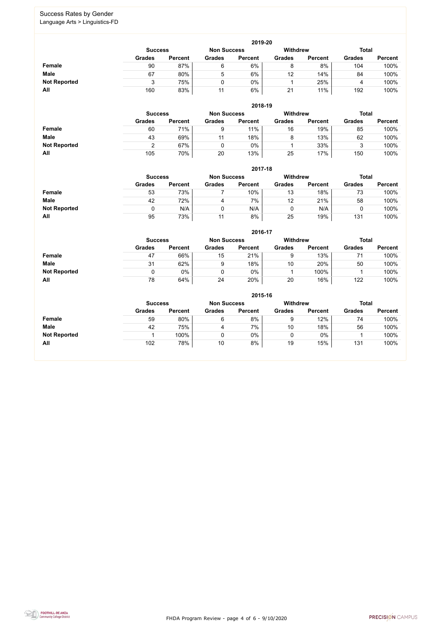FHDA Program Review - page 4 of 6 - 9/10/2020



#### Success Rates by Gender Language Arts > Linguistics-FD

|                     | 2019-20       |                                      |               |                |               |                 |               |                |  |  |  |  |  |
|---------------------|---------------|--------------------------------------|---------------|----------------|---------------|-----------------|---------------|----------------|--|--|--|--|--|
|                     |               | <b>Non Success</b><br><b>Success</b> |               |                |               | <b>Withdrew</b> | <b>Total</b>  |                |  |  |  |  |  |
|                     | <b>Grades</b> | <b>Percent</b>                       | <b>Grades</b> | <b>Percent</b> | <b>Grades</b> | <b>Percent</b>  | <b>Grades</b> | <b>Percent</b> |  |  |  |  |  |
| <b>Female</b>       | 90            | 87%                                  | 6             | 6%             | 8             | 8%              | 104           | 100%           |  |  |  |  |  |
| <b>Male</b>         | 67            | 80%                                  | ხ             | 6%             | 12            | 14%             | 84            | 100%           |  |  |  |  |  |
| <b>Not Reported</b> |               | 75%                                  |               | 0%             |               | 25%             |               | 100%           |  |  |  |  |  |
| All                 | 160           | 83%                                  | 11            | 6%             | 21            | 11%             | 192           | 100%           |  |  |  |  |  |

|                     |               | 2018-19                              |               |                |               |                 |               |                |  |  |  |  |  |  |
|---------------------|---------------|--------------------------------------|---------------|----------------|---------------|-----------------|---------------|----------------|--|--|--|--|--|--|
|                     |               | <b>Non Success</b><br><b>Success</b> |               |                |               | <b>Withdrew</b> | <b>Total</b>  |                |  |  |  |  |  |  |
|                     | <b>Grades</b> | <b>Percent</b>                       | <b>Grades</b> | <b>Percent</b> | <b>Grades</b> | <b>Percent</b>  | <b>Grades</b> | <b>Percent</b> |  |  |  |  |  |  |
| <b>Female</b>       | 60            | 71%                                  | 9             | 11%            | 16            | 19%             | 85            | 100%           |  |  |  |  |  |  |
| <b>Male</b>         | 43            | 69%                                  | 11            | 18%            | 8             | 13%             | 62            | 100%           |  |  |  |  |  |  |
| <b>Not Reported</b> |               | 67%                                  |               | 0%             |               | 33%             | Я             | 100%           |  |  |  |  |  |  |
| All                 | 105           | 70%                                  | 20            | 13%            | 25            | 17%             | 150           | 100%           |  |  |  |  |  |  |

|                     |               | 2017-18                                                                 |               |                |               |                |               |                |  |  |  |  |  |  |
|---------------------|---------------|-------------------------------------------------------------------------|---------------|----------------|---------------|----------------|---------------|----------------|--|--|--|--|--|--|
|                     |               | <b>Withdrew</b><br><b>Total</b><br><b>Non Success</b><br><b>Success</b> |               |                |               |                |               |                |  |  |  |  |  |  |
|                     | <b>Grades</b> | <b>Percent</b>                                                          | <b>Grades</b> | <b>Percent</b> | <b>Grades</b> | <b>Percent</b> | <b>Grades</b> | <b>Percent</b> |  |  |  |  |  |  |
| <b>Female</b>       | 53            | 73%                                                                     |               | $10\%$         | 13            | 18%            | 73            | 100%           |  |  |  |  |  |  |
| <b>Male</b>         | 42            | 72%                                                                     |               | 7%             | 12            | 21%            | 58            | 100%           |  |  |  |  |  |  |
| <b>Not Reported</b> |               | N/A                                                                     |               | N/A            |               | N/A            |               | 100%           |  |  |  |  |  |  |
| All                 | 95            | 73%                                                                     | 11            | 8%             | 25            | 19%            | 131           | 100%           |  |  |  |  |  |  |

|                     |               | 2016-17                                                 |               |                |               |                |               |                |  |  |
|---------------------|---------------|---------------------------------------------------------|---------------|----------------|---------------|----------------|---------------|----------------|--|--|
|                     |               | <b>Withdrew</b><br><b>Non Success</b><br><b>Success</b> |               |                |               |                |               |                |  |  |
|                     | <b>Grades</b> | <b>Percent</b>                                          | <b>Grades</b> | <b>Percent</b> | <b>Grades</b> | <b>Percent</b> | <b>Grades</b> | <b>Percent</b> |  |  |
| Female              | 47            | 66%                                                     | 15            | 21%            | 9             | 13%            | 71            | 100%           |  |  |
| <b>Male</b>         | 31            | 62%                                                     | 9             | 18%            | 10            | 20%            | 50            | 100%           |  |  |
| <b>Not Reported</b> | 0             | $0\%$                                                   |               | $0\%$          |               | 100%           |               | 100%           |  |  |
| All                 | 78            | 64%                                                     | 24            | 20%            | 20            | 16%            | 122           | 100%           |  |  |

|                     |               | 2015-16                                                 |               |                |               |                |               |                |  |  |
|---------------------|---------------|---------------------------------------------------------|---------------|----------------|---------------|----------------|---------------|----------------|--|--|
|                     |               | <b>Withdrew</b><br><b>Non Success</b><br><b>Success</b> |               |                |               |                |               |                |  |  |
|                     | <b>Grades</b> | <b>Percent</b>                                          | <b>Grades</b> | <b>Percent</b> | <b>Grades</b> | <b>Percent</b> | <b>Grades</b> | <b>Percent</b> |  |  |
| <b>Female</b>       | 59            | 80%                                                     | 6             | 8%             | 9             | 12%            | 74            | 100%           |  |  |
| <b>Male</b>         | 42            | 75%                                                     | 4             | 7%             | 10            | 18%            | 56            | 100%           |  |  |
| <b>Not Reported</b> |               | 100%                                                    | 0             | 0%             |               | $0\%$          |               | 100%           |  |  |
| All                 | 102           | 78%                                                     | 10            | 8%             | 19            | 15%            | 131           | 100%           |  |  |

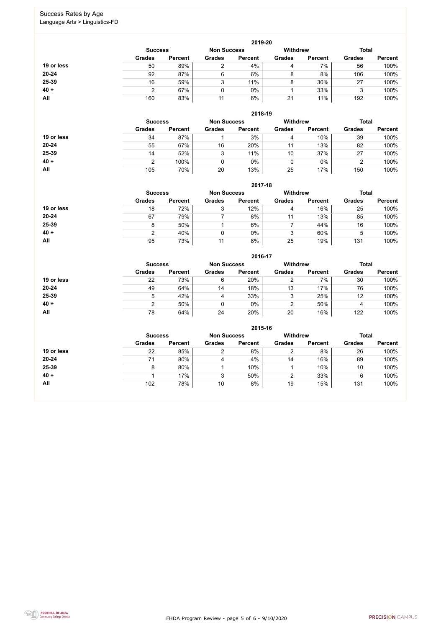FHDA Program Review - page 5 of 6 - 9/10/2020



#### Success Rates by Age Language Arts > Linguistics-FD

|            |                |                |                                       | 2019-20        |               |                |               |                |
|------------|----------------|----------------|---------------------------------------|----------------|---------------|----------------|---------------|----------------|
|            | <b>Success</b> |                | <b>Withdrew</b><br><b>Non Success</b> |                |               | <b>Total</b>   |               |                |
|            | <b>Grades</b>  | <b>Percent</b> | <b>Grades</b>                         | <b>Percent</b> | <b>Grades</b> | <b>Percent</b> | <b>Grades</b> | <b>Percent</b> |
| 19 or less | 50             | 89%            | ⌒                                     | 4%             | 4             | 7%             | 56            | 100%           |
| $20 - 24$  | 92             | 87%            | 6                                     | 6%             | 8             | 8%             | 106           | 100%           |
| 25-39      | 16             | 59%            | 3                                     | 11%            | 8             | 30%            | 27            | 100%           |
| $40 +$     | ◠              | 67%            |                                       | 0%             |               | 33%            | 3             | 100%           |
| All        | 160            | 83%            | 11                                    | 6%             | 21            | 11%            | 192           | 100%           |

|            |                                      |                |               | 2018-19         |               |                |               |                |
|------------|--------------------------------------|----------------|---------------|-----------------|---------------|----------------|---------------|----------------|
|            | <b>Non Success</b><br><b>Success</b> |                |               | <b>Withdrew</b> |               | <b>Total</b>   |               |                |
|            | <b>Grades</b>                        | <b>Percent</b> | <b>Grades</b> | <b>Percent</b>  | <b>Grades</b> | <b>Percent</b> | <b>Grades</b> | <b>Percent</b> |
| 19 or less | 34                                   | 87%            |               | 3%              | 4             | 10%            | 39            | 100%           |
| $20 - 24$  | 55                                   | 67%            | 16            | 20%             | 11            | 13%            | 82            | 100%           |
| 25-39      | 14                                   | 52%            | 3             | 11%             | 10            | 37%            | 27            | 100%           |
| $40 +$     | າ                                    | 100%           |               | 0%              | 0             | $0\%$          | ◠<br>▵        | 100%           |
| All        | 105                                  | 70%            | 20            | 13%             | 25            | 17%            | 150           | 100%           |

**2017-18**



|               |                |                |                |                    | <b>Total</b>   |                 |                |
|---------------|----------------|----------------|----------------|--------------------|----------------|-----------------|----------------|
| <b>Grades</b> | <b>Percent</b> | <b>Grades</b>  | <b>Percent</b> | <b>Grades</b>      | <b>Percent</b> | <b>Grades</b>   | <b>Percent</b> |
| 18            | 72%            |                | 12%            | 4                  | 16%            | 25              | 100%           |
| 67            | 79%            |                | 8%             |                    | 13%            | 85              | 100%           |
|               | 50%            |                | 6%             |                    | 44%            | 16              | 100%           |
|               | 40%            |                | $0\%$          |                    | 60%            | Ⴆ               | 100%           |
| 95            | 73%            | 11             | 8%             | 25                 | 19%            | 131             | 100%           |
|               |                | <b>Success</b> |                | <b>Non Success</b> | 2017-18        | <b>Withdrew</b> |                |

|            |                                      |                |               | 2016-17        |                 |                |               |                |  |
|------------|--------------------------------------|----------------|---------------|----------------|-----------------|----------------|---------------|----------------|--|
|            | <b>Non Success</b><br><b>Success</b> |                |               |                | <b>Withdrew</b> |                | <b>Total</b>  |                |  |
|            | <b>Grades</b>                        | <b>Percent</b> | <b>Grades</b> | <b>Percent</b> | <b>Grades</b>   | <b>Percent</b> | <b>Grades</b> | <b>Percent</b> |  |
| 19 or less | 22                                   | 73%            | 6             | 20%            |                 | 7%             | 30            | 100%           |  |
| $20 - 24$  | 49                                   | 64%            | 14            | 18%            | 13              | 17%            | 76            | 100%           |  |
| 25-39      | $\mathbf b$                          | 42%            | 4             | 33%            | 3               | 25%            | 12            | 100%           |  |
| $40 +$     | ົ                                    | 50%            |               | $0\%$          | າ               | 50%            | 4             | 100%           |  |
| All        | 78                                   | 64%            | 24            | 20%            | 20              | 16%            | 122           | 100%           |  |

|            |                                      |                |               | 2015-16        |                 |                |               |                |
|------------|--------------------------------------|----------------|---------------|----------------|-----------------|----------------|---------------|----------------|
|            | <b>Non Success</b><br><b>Success</b> |                |               |                | <b>Withdrew</b> |                | <b>Total</b>  |                |
|            | <b>Grades</b>                        | <b>Percent</b> | <b>Grades</b> | <b>Percent</b> | <b>Grades</b>   | <b>Percent</b> | <b>Grades</b> | <b>Percent</b> |
| 19 or less | 22                                   | 85%            | ົ             | 8%             | າ<br>∠          | 8%             | 26            | 100%           |
| 20-24      | 71                                   | 80%            | 4             | 4%             | 14              | 16%            | 89            | 100%           |
| 25-39      | 8                                    | 80%            |               | 10%            |                 | 10%            | 10            | 100%           |
| $40 +$     |                                      | 17%            | 3             | 50%            | າ               | 33%            | 6             | 100%           |
| <b>All</b> | 102                                  | 78%            | 10            | 8%             | 19              | 15%            | 131           | 100%           |